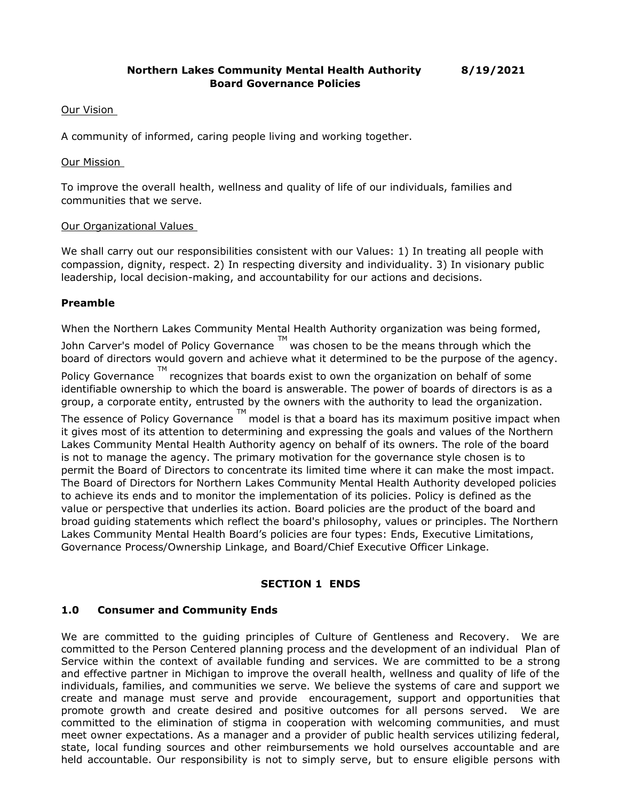### Our Vision

A community of informed, caring people living and working together.

#### Our Mission

To improve the overall health, wellness and quality of life of our individuals, families and communities that we serve.

### Our Organizational Values

We shall carry out our responsibilities consistent with our Values: 1) In treating all people with compassion, dignity, respect. 2) In respecting diversity and individuality. 3) In visionary public leadership, local decision-making, and accountability for our actions and decisions.

## **Preamble**

When the Northern Lakes Community Mental Health Authority organization was being formed,

John Carver's model of Policy Governance  $\Box^{\mathsf{M}}$  was chosen to be the means through which the board of directors would govern and achieve what it determined to be the purpose of the agency. Policy Governance  $\mathbb{T}^{\mathsf{M}}$  recognizes that boards exist to own the organization on behalf of some identifiable ownership to which the board is answerable. The power of boards of directors is as a group, a corporate entity, entrusted by the owners with the authority to lead the organization. The essence of Policy Governance  $^{\text{TM}}$  model is that a board has its maximum positive impact when it gives most of its attention to determining and expressing the goals and values of the Northern Lakes Community Mental Health Authority agency on behalf of its owners. The role of the board is not to manage the agency. The primary motivation for the governance style chosen is to permit the Board of Directors to concentrate its limited time where it can make the most impact. The Board of Directors for Northern Lakes Community Mental Health Authority developed policies to achieve its ends and to monitor the implementation of its policies. Policy is defined as the value or perspective that underlies its action. Board policies are the product of the board and broad guiding statements which reflect the board's philosophy, values or principles. The Northern Lakes Community Mental Health Board's policies are four types: Ends, Executive Limitations, Governance Process/Ownership Linkage, and Board/Chief Executive Officer Linkage.

## **SECTION 1 ENDS**

## **1.0 Consumer and Community Ends**

We are committed to the guiding principles of Culture of Gentleness and Recovery. We are committed to the Person Centered planning process and the development of an individual Plan of Service within the context of available funding and services. We are committed to be a strong and effective partner in Michigan to improve the overall health, wellness and quality of life of the individuals, families, and communities we serve. We believe the systems of care and support we create and manage must serve and provide encouragement, support and opportunities that promote growth and create desired and positive outcomes for all persons served. We are committed to the elimination of stigma in cooperation with welcoming communities, and must meet owner expectations. As a manager and a provider of public health services utilizing federal, state, local funding sources and other reimbursements we hold ourselves accountable and are held accountable. Our responsibility is not to simply serve, but to ensure eligible persons with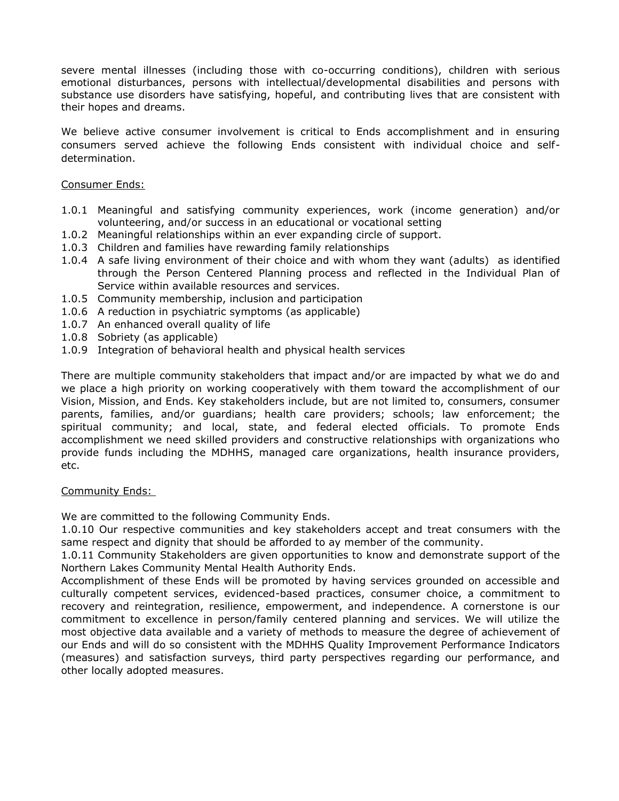severe mental illnesses (including those with co-occurring conditions), children with serious emotional disturbances, persons with intellectual/developmental disabilities and persons with substance use disorders have satisfying, hopeful, and contributing lives that are consistent with their hopes and dreams.

We believe active consumer involvement is critical to Ends accomplishment and in ensuring consumers served achieve the following Ends consistent with individual choice and selfdetermination.

### Consumer Ends:

- 1.0.1 Meaningful and satisfying community experiences, work (income generation) and/or volunteering, and/or success in an educational or vocational setting
- 1.0.2 Meaningful relationships within an ever expanding circle of support.
- 1.0.3 Children and families have rewarding family relationships
- 1.0.4 A safe living environment of their choice and with whom they want (adults) as identified through the Person Centered Planning process and reflected in the Individual Plan of Service within available resources and services.
- 1.0.5 Community membership, inclusion and participation
- 1.0.6 A reduction in psychiatric symptoms (as applicable)
- 1.0.7 An enhanced overall quality of life
- 1.0.8 Sobriety (as applicable)
- 1.0.9 Integration of behavioral health and physical health services

There are multiple community stakeholders that impact and/or are impacted by what we do and we place a high priority on working cooperatively with them toward the accomplishment of our Vision, Mission, and Ends. Key stakeholders include, but are not limited to, consumers, consumer parents, families, and/or guardians; health care providers; schools; law enforcement; the spiritual community; and local, state, and federal elected officials. To promote Ends accomplishment we need skilled providers and constructive relationships with organizations who provide funds including the MDHHS, managed care organizations, health insurance providers, etc.

#### Community Ends:

We are committed to the following Community Ends.

1.0.10 Our respective communities and key stakeholders accept and treat consumers with the same respect and dignity that should be afforded to ay member of the community.

1.0.11 Community Stakeholders are given opportunities to know and demonstrate support of the Northern Lakes Community Mental Health Authority Ends.

Accomplishment of these Ends will be promoted by having services grounded on accessible and culturally competent services, evidenced-based practices, consumer choice, a commitment to recovery and reintegration, resilience, empowerment, and independence. A cornerstone is our commitment to excellence in person/family centered planning and services. We will utilize the most objective data available and a variety of methods to measure the degree of achievement of our Ends and will do so consistent with the MDHHS Quality Improvement Performance Indicators (measures) and satisfaction surveys, third party perspectives regarding our performance, and other locally adopted measures.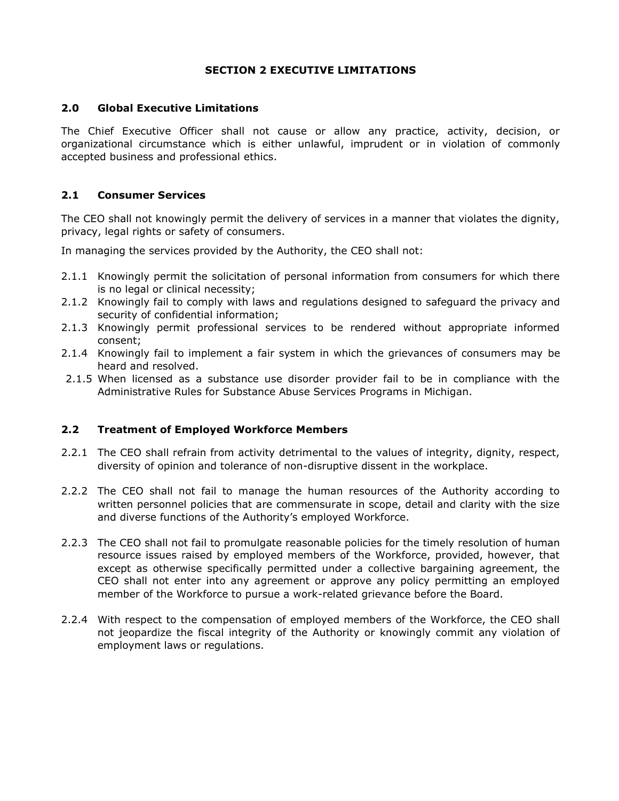## **SECTION 2 EXECUTIVE LIMITATIONS**

#### **2.0 Global Executive Limitations**

The Chief Executive Officer shall not cause or allow any practice, activity, decision, or organizational circumstance which is either unlawful, imprudent or in violation of commonly accepted business and professional ethics.

### **2.1 Consumer Services**

The CEO shall not knowingly permit the delivery of services in a manner that violates the dignity, privacy, legal rights or safety of consumers.

In managing the services provided by the Authority, the CEO shall not:

- 2.1.1 Knowingly permit the solicitation of personal information from consumers for which there is no legal or clinical necessity;
- 2.1.2 Knowingly fail to comply with laws and regulations designed to safeguard the privacy and security of confidential information;
- 2.1.3 Knowingly permit professional services to be rendered without appropriate informed consent;
- 2.1.4 Knowingly fail to implement a fair system in which the grievances of consumers may be heard and resolved.
- 2.1.5 When licensed as a substance use disorder provider fail to be in compliance with the Administrative Rules for Substance Abuse Services Programs in Michigan.

#### **2.2 Treatment of Employed Workforce Members**

- 2.2.1 The CEO shall refrain from activity detrimental to the values of integrity, dignity, respect, diversity of opinion and tolerance of non-disruptive dissent in the workplace.
- 2.2.2 The CEO shall not fail to manage the human resources of the Authority according to written personnel policies that are commensurate in scope, detail and clarity with the size and diverse functions of the Authority's employed Workforce.
- 2.2.3 The CEO shall not fail to promulgate reasonable policies for the timely resolution of human resource issues raised by employed members of the Workforce, provided, however, that except as otherwise specifically permitted under a collective bargaining agreement, the CEO shall not enter into any agreement or approve any policy permitting an employed member of the Workforce to pursue a work-related grievance before the Board.
- 2.2.4 With respect to the compensation of employed members of the Workforce, the CEO shall not jeopardize the fiscal integrity of the Authority or knowingly commit any violation of employment laws or regulations.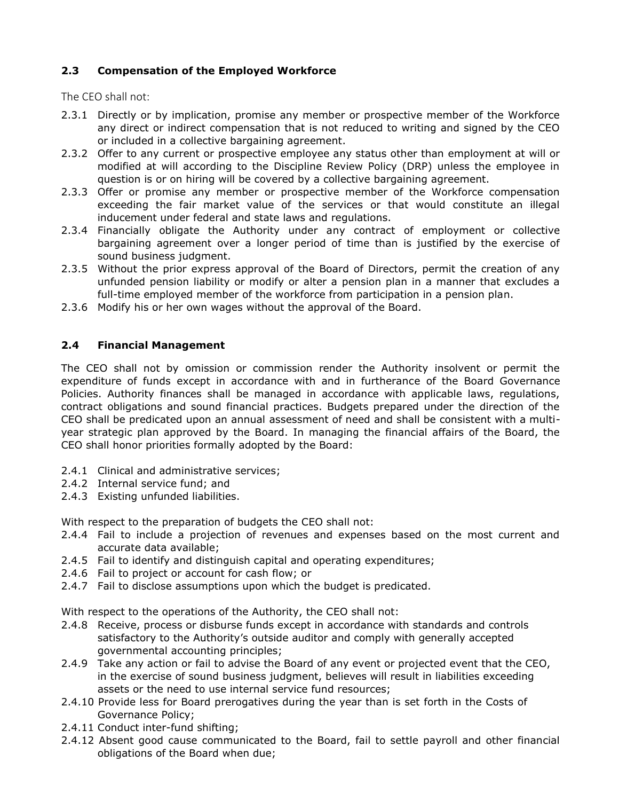# **2.3 Compensation of the Employed Workforce**

The CEO shall not:

- 2.3.1 Directly or by implication, promise any member or prospective member of the Workforce any direct or indirect compensation that is not reduced to writing and signed by the CEO or included in a collective bargaining agreement.
- 2.3.2 Offer to any current or prospective employee any status other than employment at will or modified at will according to the Discipline Review Policy (DRP) unless the employee in question is or on hiring will be covered by a collective bargaining agreement.
- 2.3.3 Offer or promise any member or prospective member of the Workforce compensation exceeding the fair market value of the services or that would constitute an illegal inducement under federal and state laws and regulations.
- 2.3.4 Financially obligate the Authority under any contract of employment or collective bargaining agreement over a longer period of time than is justified by the exercise of sound business judgment.
- 2.3.5 Without the prior express approval of the Board of Directors, permit the creation of any unfunded pension liability or modify or alter a pension plan in a manner that excludes a full-time employed member of the workforce from participation in a pension plan.
- 2.3.6 Modify his or her own wages without the approval of the Board.

## **2.4 Financial Management**

The CEO shall not by omission or commission render the Authority insolvent or permit the expenditure of funds except in accordance with and in furtherance of the Board Governance Policies. Authority finances shall be managed in accordance with applicable laws, regulations, contract obligations and sound financial practices. Budgets prepared under the direction of the CEO shall be predicated upon an annual assessment of need and shall be consistent with a multiyear strategic plan approved by the Board. In managing the financial affairs of the Board, the CEO shall honor priorities formally adopted by the Board:

- 2.4.1 Clinical and administrative services;
- 2.4.2 Internal service fund; and
- 2.4.3 Existing unfunded liabilities.

With respect to the preparation of budgets the CEO shall not:

- 2.4.4 Fail to include a projection of revenues and expenses based on the most current and accurate data available;
- 2.4.5 Fail to identify and distinguish capital and operating expenditures;
- 2.4.6 Fail to project or account for cash flow; or
- 2.4.7 Fail to disclose assumptions upon which the budget is predicated.

With respect to the operations of the Authority, the CEO shall not:

- 2.4.8 Receive, process or disburse funds except in accordance with standards and controls satisfactory to the Authority's outside auditor and comply with generally accepted governmental accounting principles;
- 2.4.9 Take any action or fail to advise the Board of any event or projected event that the CEO, in the exercise of sound business judgment, believes will result in liabilities exceeding assets or the need to use internal service fund resources;
- 2.4.10 Provide less for Board prerogatives during the year than is set forth in the Costs of Governance Policy;
- 2.4.11 Conduct inter-fund shifting;
- 2.4.12 Absent good cause communicated to the Board, fail to settle payroll and other financial obligations of the Board when due;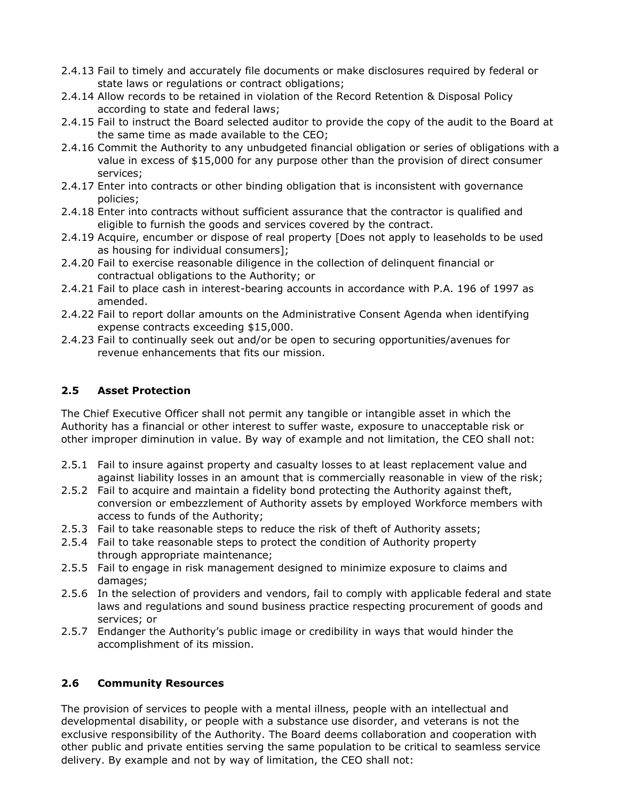- 2.4.13 Fail to timely and accurately file documents or make disclosures required by federal or state laws or regulations or contract obligations;
- 2.4.14 Allow records to be retained in violation of the Record Retention & Disposal Policy according to state and federal laws;
- 2.4.15 Fail to instruct the Board selected auditor to provide the copy of the audit to the Board at the same time as made available to the CEO;
- 2.4.16 Commit the Authority to any unbudgeted financial obligation or series of obligations with a value in excess of \$15,000 for any purpose other than the provision of direct consumer services;
- 2.4.17 Enter into contracts or other binding obligation that is inconsistent with governance policies;
- 2.4.18 Enter into contracts without sufficient assurance that the contractor is qualified and eligible to furnish the goods and services covered by the contract.
- 2.4.19 Acquire, encumber or dispose of real property [Does not apply to leaseholds to be used as housing for individual consumers];
- 2.4.20 Fail to exercise reasonable diligence in the collection of delinquent financial or contractual obligations to the Authority; or
- 2.4.21 Fail to place cash in interest-bearing accounts in accordance with P.A. 196 of 1997 as amended.
- 2.4.22 Fail to report dollar amounts on the Administrative Consent Agenda when identifying expense contracts exceeding \$15,000.
- 2.4.23 Fail to continually seek out and/or be open to securing opportunities/avenues for revenue enhancements that fits our mission.

# **2.5 Asset Protection**

The Chief Executive Officer shall not permit any tangible or intangible asset in which the Authority has a financial or other interest to suffer waste, exposure to unacceptable risk or other improper diminution in value. By way of example and not limitation, the CEO shall not:

- 2.5.1 Fail to insure against property and casualty losses to at least replacement value and against liability losses in an amount that is commercially reasonable in view of the risk;
- 2.5.2 Fail to acquire and maintain a fidelity bond protecting the Authority against theft, conversion or embezzlement of Authority assets by employed Workforce members with access to funds of the Authority;
- 2.5.3 Fail to take reasonable steps to reduce the risk of theft of Authority assets;
- 2.5.4 Fail to take reasonable steps to protect the condition of Authority property through appropriate maintenance;
- 2.5.5 Fail to engage in risk management designed to minimize exposure to claims and damages;
- 2.5.6 In the selection of providers and vendors, fail to comply with applicable federal and state laws and regulations and sound business practice respecting procurement of goods and services; or
- 2.5.7 Endanger the Authority's public image or credibility in ways that would hinder the accomplishment of its mission.

## **2.6 Community Resources**

The provision of services to people with a mental illness, people with an intellectual and developmental disability, or people with a substance use disorder, and veterans is not the exclusive responsibility of the Authority. The Board deems collaboration and cooperation with other public and private entities serving the same population to be critical to seamless service delivery. By example and not by way of limitation, the CEO shall not: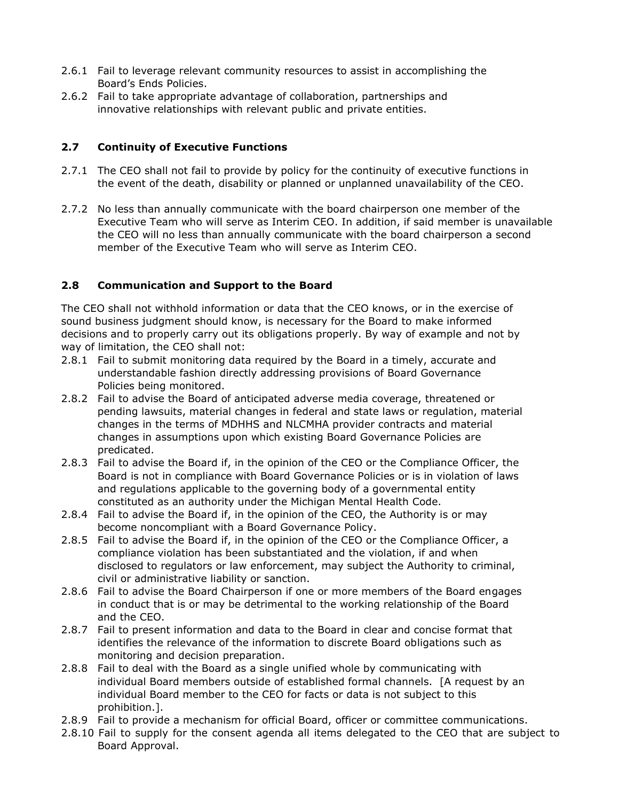- 2.6.1 Fail to leverage relevant community resources to assist in accomplishing the Board's Ends Policies.
- 2.6.2 Fail to take appropriate advantage of collaboration, partnerships and innovative relationships with relevant public and private entities.

# **2.7 Continuity of Executive Functions**

- 2.7.1 The CEO shall not fail to provide by policy for the continuity of executive functions in the event of the death, disability or planned or unplanned unavailability of the CEO.
- 2.7.2 No less than annually communicate with the board chairperson one member of the Executive Team who will serve as Interim CEO. In addition, if said member is unavailable the CEO will no less than annually communicate with the board chairperson a second member of the Executive Team who will serve as Interim CEO.

# **2.8 Communication and Support to the Board**

The CEO shall not withhold information or data that the CEO knows, or in the exercise of sound business judgment should know, is necessary for the Board to make informed decisions and to properly carry out its obligations properly. By way of example and not by way of limitation, the CEO shall not:

- 2.8.1 Fail to submit monitoring data required by the Board in a timely, accurate and understandable fashion directly addressing provisions of Board Governance Policies being monitored.
- 2.8.2 Fail to advise the Board of anticipated adverse media coverage, threatened or pending lawsuits, material changes in federal and state laws or regulation, material changes in the terms of MDHHS and NLCMHA provider contracts and material changes in assumptions upon which existing Board Governance Policies are predicated.
- 2.8.3 Fail to advise the Board if, in the opinion of the CEO or the Compliance Officer, the Board is not in compliance with Board Governance Policies or is in violation of laws and regulations applicable to the governing body of a governmental entity constituted as an authority under the Michigan Mental Health Code.
- 2.8.4 Fail to advise the Board if, in the opinion of the CEO, the Authority is or may become noncompliant with a Board Governance Policy.
- 2.8.5 Fail to advise the Board if, in the opinion of the CEO or the Compliance Officer, a compliance violation has been substantiated and the violation, if and when disclosed to regulators or law enforcement, may subject the Authority to criminal, civil or administrative liability or sanction.
- 2.8.6 Fail to advise the Board Chairperson if one or more members of the Board engages in conduct that is or may be detrimental to the working relationship of the Board and the CEO.
- 2.8.7 Fail to present information and data to the Board in clear and concise format that identifies the relevance of the information to discrete Board obligations such as monitoring and decision preparation.
- 2.8.8 Fail to deal with the Board as a single unified whole by communicating with individual Board members outside of established formal channels. [A request by an individual Board member to the CEO for facts or data is not subject to this prohibition.].
- 2.8.9 Fail to provide a mechanism for official Board, officer or committee communications.
- 2.8.10 Fail to supply for the consent agenda all items delegated to the CEO that are subject to Board Approval.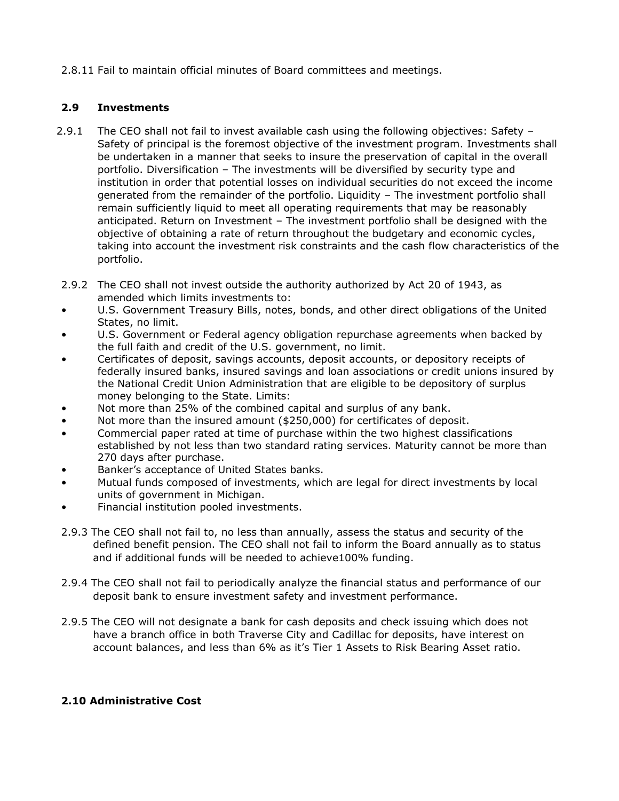2.8.11 Fail to maintain official minutes of Board committees and meetings.

## **2.9 Investments**

- 2.9.1 The CEO shall not fail to invest available cash using the following objectives: Safety Safety of principal is the foremost objective of the investment program. Investments shall be undertaken in a manner that seeks to insure the preservation of capital in the overall portfolio. Diversification – The investments will be diversified by security type and institution in order that potential losses on individual securities do not exceed the income generated from the remainder of the portfolio. Liquidity – The investment portfolio shall remain sufficiently liquid to meet all operating requirements that may be reasonably anticipated. Return on Investment – The investment portfolio shall be designed with the objective of obtaining a rate of return throughout the budgetary and economic cycles, taking into account the investment risk constraints and the cash flow characteristics of the portfolio.
- 2.9.2 The CEO shall not invest outside the authority authorized by Act 20 of 1943, as amended which limits investments to:
- U.S. Government Treasury Bills, notes, bonds, and other direct obligations of the United States, no limit.
- U.S. Government or Federal agency obligation repurchase agreements when backed by the full faith and credit of the U.S. government, no limit.
- Certificates of deposit, savings accounts, deposit accounts, or depository receipts of federally insured banks, insured savings and loan associations or credit unions insured by the National Credit Union Administration that are eligible to be depository of surplus money belonging to the State. Limits:
- Not more than 25% of the combined capital and surplus of any bank.
- Not more than the insured amount (\$250,000) for certificates of deposit.
- Commercial paper rated at time of purchase within the two highest classifications established by not less than two standard rating services. Maturity cannot be more than 270 days after purchase.
- Banker's acceptance of United States banks.
- Mutual funds composed of investments, which are legal for direct investments by local units of government in Michigan.
- Financial institution pooled investments.
- 2.9.3 The CEO shall not fail to, no less than annually, assess the status and security of the defined benefit pension. The CEO shall not fail to inform the Board annually as to status and if additional funds will be needed to achieve100% funding.
- 2.9.4 The CEO shall not fail to periodically analyze the financial status and performance of our deposit bank to ensure investment safety and investment performance.
- 2.9.5 The CEO will not designate a bank for cash deposits and check issuing which does not have a branch office in both Traverse City and Cadillac for deposits, have interest on account balances, and less than 6% as it's Tier 1 Assets to Risk Bearing Asset ratio.

## **2.10 Administrative Cost**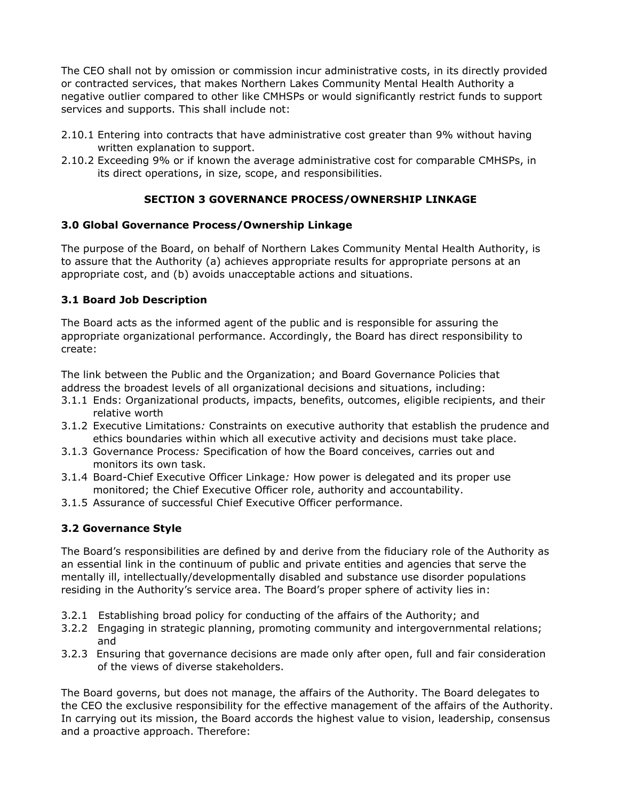The CEO shall not by omission or commission incur administrative costs, in its directly provided or contracted services, that makes Northern Lakes Community Mental Health Authority a negative outlier compared to other like CMHSPs or would significantly restrict funds to support services and supports. This shall include not:

- 2.10.1 Entering into contracts that have administrative cost greater than 9% without having written explanation to support.
- 2.10.2 Exceeding 9% or if known the average administrative cost for comparable CMHSPs, in its direct operations, in size, scope, and responsibilities.

# **SECTION 3 GOVERNANCE PROCESS/OWNERSHIP LINKAGE**

# **3.0 Global Governance Process/Ownership Linkage**

The purpose of the Board, on behalf of Northern Lakes Community Mental Health Authority, is to assure that the Authority (a) achieves appropriate results for appropriate persons at an appropriate cost, and (b) avoids unacceptable actions and situations.

# **3.1 Board Job Description**

The Board acts as the informed agent of the public and is responsible for assuring the appropriate organizational performance. Accordingly, the Board has direct responsibility to create:

The link between the Public and the Organization; and Board Governance Policies that address the broadest levels of all organizational decisions and situations, including:

- 3.1.1 Ends: Organizational products, impacts, benefits, outcomes, eligible recipients, and their relative worth
- 3.1.2 Executive Limitations*:* Constraints on executive authority that establish the prudence and ethics boundaries within which all executive activity and decisions must take place.
- 3.1.3 Governance Process*:* Specification of how the Board conceives, carries out and monitors its own task.
- 3.1.4 Board-Chief Executive Officer Linkage*:* How power is delegated and its proper use monitored; the Chief Executive Officer role, authority and accountability.
- 3.1.5 Assurance of successful Chief Executive Officer performance.

# **3.2 Governance Style**

The Board's responsibilities are defined by and derive from the fiduciary role of the Authority as an essential link in the continuum of public and private entities and agencies that serve the mentally ill, intellectually/developmentally disabled and substance use disorder populations residing in the Authority's service area. The Board's proper sphere of activity lies in:

- 3.2.1 Establishing broad policy for conducting of the affairs of the Authority; and
- 3.2.2 Engaging in strategic planning, promoting community and intergovernmental relations; and
- 3.2.3 Ensuring that governance decisions are made only after open, full and fair consideration of the views of diverse stakeholders.

The Board governs, but does not manage, the affairs of the Authority. The Board delegates to the CEO the exclusive responsibility for the effective management of the affairs of the Authority. In carrying out its mission, the Board accords the highest value to vision, leadership, consensus and a proactive approach. Therefore: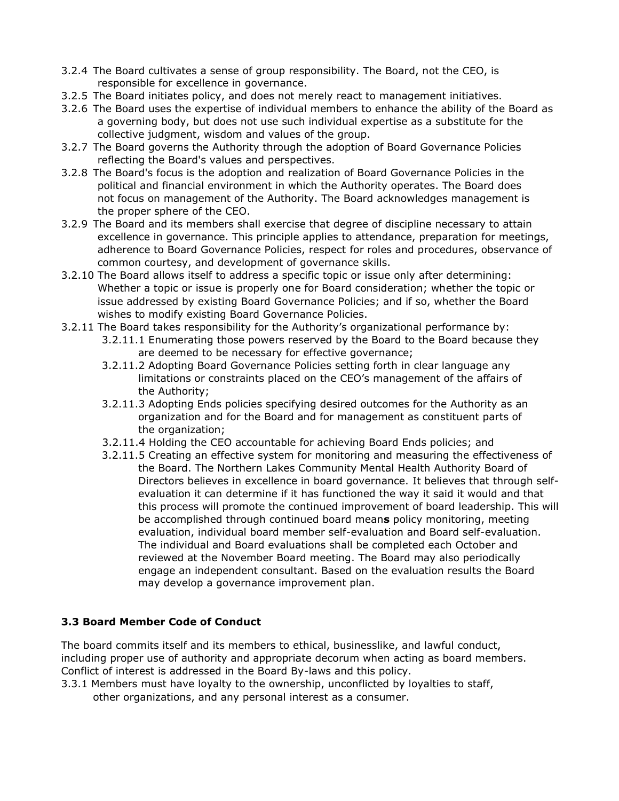- 3.2.4 The Board cultivates a sense of group responsibility. The Board, not the CEO, is responsible for excellence in governance.
- 3.2.5 The Board initiates policy, and does not merely react to management initiatives.
- 3.2.6 The Board uses the expertise of individual members to enhance the ability of the Board as a governing body, but does not use such individual expertise as a substitute for the collective judgment, wisdom and values of the group.
- 3.2.7 The Board governs the Authority through the adoption of Board Governance Policies reflecting the Board's values and perspectives.
- 3.2.8 The Board's focus is the adoption and realization of Board Governance Policies in the political and financial environment in which the Authority operates. The Board does not focus on management of the Authority. The Board acknowledges management is the proper sphere of the CEO.
- 3.2.9 The Board and its members shall exercise that degree of discipline necessary to attain excellence in governance. This principle applies to attendance, preparation for meetings, adherence to Board Governance Policies, respect for roles and procedures, observance of common courtesy, and development of governance skills.
- 3.2.10 The Board allows itself to address a specific topic or issue only after determining: Whether a topic or issue is properly one for Board consideration; whether the topic or issue addressed by existing Board Governance Policies; and if so, whether the Board wishes to modify existing Board Governance Policies.
- 3.2.11 The Board takes responsibility for the Authority's organizational performance by:
	- 3.2.11.1 Enumerating those powers reserved by the Board to the Board because they are deemed to be necessary for effective governance;
	- 3.2.11.2 Adopting Board Governance Policies setting forth in clear language any limitations or constraints placed on the CEO's management of the affairs of the Authority;
	- 3.2.11.3 Adopting Ends policies specifying desired outcomes for the Authority as an organization and for the Board and for management as constituent parts of the organization;
	- 3.2.11.4 Holding the CEO accountable for achieving Board Ends policies; and
	- 3.2.11.5 Creating an effective system for monitoring and measuring the effectiveness of the Board. The Northern Lakes Community Mental Health Authority Board of Directors believes in excellence in board governance. It believes that through selfevaluation it can determine if it has functioned the way it said it would and that this process will promote the continued improvement of board leadership. This will be accomplished through continued board mean**s** policy monitoring, meeting evaluation, individual board member self-evaluation and Board self-evaluation. The individual and Board evaluations shall be completed each October and reviewed at the November Board meeting. The Board may also periodically engage an independent consultant. Based on the evaluation results the Board may develop a governance improvement plan.

## **3.3 Board Member Code of Conduct**

The board commits itself and its members to ethical, businesslike, and lawful conduct, including proper use of authority and appropriate decorum when acting as board members. Conflict of interest is addressed in the Board By-laws and this policy.

3.3.1 Members must have loyalty to the ownership, unconflicted by loyalties to staff, other organizations, and any personal interest as a consumer.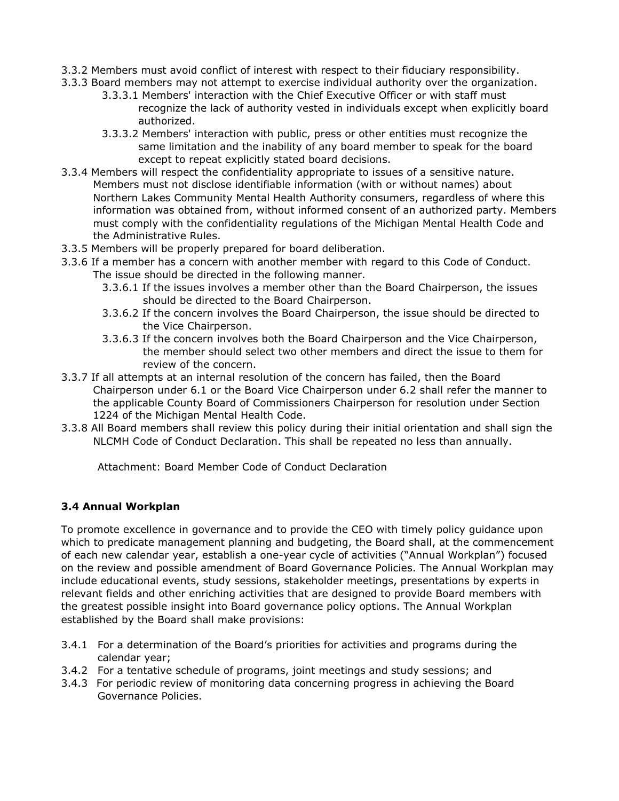- 3.3.2 Members must avoid conflict of interest with respect to their fiduciary responsibility.
- 3.3.3 Board members may not attempt to exercise individual authority over the organization.
	- 3.3.3.1 Members' interaction with the Chief Executive Officer or with staff must recognize the lack of authority vested in individuals except when explicitly board authorized.
	- 3.3.3.2 Members' interaction with public, press or other entities must recognize the same limitation and the inability of any board member to speak for the board except to repeat explicitly stated board decisions.
- 3.3.4 Members will respect the confidentiality appropriate to issues of a sensitive nature. Members must not disclose identifiable information (with or without names) about Northern Lakes Community Mental Health Authority consumers, regardless of where this information was obtained from, without informed consent of an authorized party. Members must comply with the confidentiality regulations of the Michigan Mental Health Code and the Administrative Rules.
- 3.3.5 Members will be properly prepared for board deliberation.
- 3.3.6 If a member has a concern with another member with regard to this Code of Conduct. The issue should be directed in the following manner.
	- 3.3.6.1 If the issues involves a member other than the Board Chairperson, the issues should be directed to the Board Chairperson.
	- 3.3.6.2 If the concern involves the Board Chairperson, the issue should be directed to the Vice Chairperson.
	- 3.3.6.3 If the concern involves both the Board Chairperson and the Vice Chairperson, the member should select two other members and direct the issue to them for review of the concern.
- 3.3.7 If all attempts at an internal resolution of the concern has failed, then the Board Chairperson under 6.1 or the Board Vice Chairperson under 6.2 shall refer the manner to the applicable County Board of Commissioners Chairperson for resolution under Section 1224 of the Michigan Mental Health Code.
- 3.3.8 All Board members shall review this policy during their initial orientation and shall sign the NLCMH Code of Conduct Declaration. This shall be repeated no less than annually.

Attachment: Board Member Code of Conduct Declaration

## **3.4 Annual Workplan**

To promote excellence in governance and to provide the CEO with timely policy guidance upon which to predicate management planning and budgeting, the Board shall, at the commencement of each new calendar year, establish a one-year cycle of activities ("Annual Workplan") focused on the review and possible amendment of Board Governance Policies. The Annual Workplan may include educational events, study sessions, stakeholder meetings, presentations by experts in relevant fields and other enriching activities that are designed to provide Board members with the greatest possible insight into Board governance policy options. The Annual Workplan established by the Board shall make provisions:

- 3.4.1 For a determination of the Board's priorities for activities and programs during the calendar year;
- 3.4.2 For a tentative schedule of programs, joint meetings and study sessions; and
- 3.4.3 For periodic review of monitoring data concerning progress in achieving the Board Governance Policies.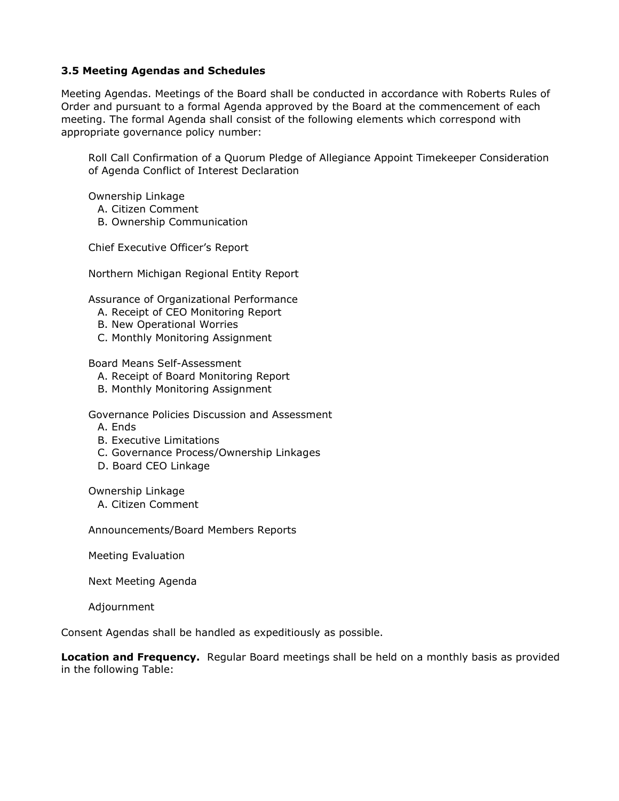### **3.5 Meeting Agendas and Schedules**

Meeting Agendas. Meetings of the Board shall be conducted in accordance with Roberts Rules of Order and pursuant to a formal Agenda approved by the Board at the commencement of each meeting. The formal Agenda shall consist of the following elements which correspond with appropriate governance policy number:

Roll Call Confirmation of a Quorum Pledge of Allegiance Appoint Timekeeper Consideration of Agenda Conflict of Interest Declaration

Ownership Linkage

- A. Citizen Comment
- B. Ownership Communication

Chief Executive Officer's Report

Northern Michigan Regional Entity Report

Assurance of Organizational Performance

- A. Receipt of CEO Monitoring Report
- B. New Operational Worries
- C. Monthly Monitoring Assignment

Board Means Self-Assessment

- A. Receipt of Board Monitoring Report
- B. Monthly Monitoring Assignment

Governance Policies Discussion and Assessment

- A. Ends
- B. Executive Limitations
- C. Governance Process/Ownership Linkages
- D. Board CEO Linkage

Ownership Linkage

A. Citizen Comment

Announcements/Board Members Reports

Meeting Evaluation

Next Meeting Agenda

Adjournment

Consent Agendas shall be handled as expeditiously as possible.

**Location and Frequency.** Regular Board meetings shall be held on a monthly basis as provided in the following Table: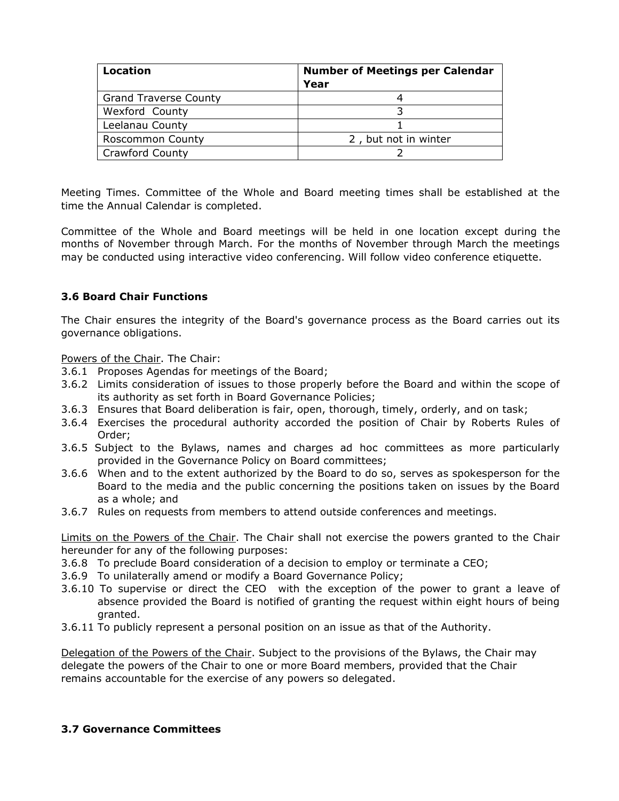| Location                     | <b>Number of Meetings per Calendar</b><br>Year |
|------------------------------|------------------------------------------------|
| <b>Grand Traverse County</b> |                                                |
| Wexford County               |                                                |
| Leelanau County              |                                                |
| Roscommon County             | 2, but not in winter                           |
| <b>Crawford County</b>       |                                                |

Meeting Times. Committee of the Whole and Board meeting times shall be established at the time the Annual Calendar is completed.

Committee of the Whole and Board meetings will be held in one location except during the months of November through March. For the months of November through March the meetings may be conducted using interactive video conferencing. Will follow video conference etiquette.

## **3.6 Board Chair Functions**

The Chair ensures the integrity of the Board's governance process as the Board carries out its governance obligations.

Powers of the Chair. The Chair:

- 3.6.1 Proposes Agendas for meetings of the Board;
- 3.6.2 Limits consideration of issues to those properly before the Board and within the scope of its authority as set forth in Board Governance Policies;
- 3.6.3 Ensures that Board deliberation is fair, open, thorough, timely, orderly, and on task;
- 3.6.4 Exercises the procedural authority accorded the position of Chair by Roberts Rules of Order;
- 3.6.5 Subject to the Bylaws, names and charges ad hoc committees as more particularly provided in the Governance Policy on Board committees;
- 3.6.6 When and to the extent authorized by the Board to do so, serves as spokesperson for the Board to the media and the public concerning the positions taken on issues by the Board as a whole; and
- 3.6.7 Rules on requests from members to attend outside conferences and meetings.

Limits on the Powers of the Chair. The Chair shall not exercise the powers granted to the Chair hereunder for any of the following purposes:

- 3.6.8 To preclude Board consideration of a decision to employ or terminate a CEO;
- 3.6.9 To unilaterally amend or modify a Board Governance Policy;
- 3.6.10 To supervise or direct the CEO with the exception of the power to grant a leave of absence provided the Board is notified of granting the request within eight hours of being granted.
- 3.6.11 To publicly represent a personal position on an issue as that of the Authority.

Delegation of the Powers of the Chair. Subject to the provisions of the Bylaws, the Chair may delegate the powers of the Chair to one or more Board members, provided that the Chair remains accountable for the exercise of any powers so delegated.

#### **3.7 Governance Committees**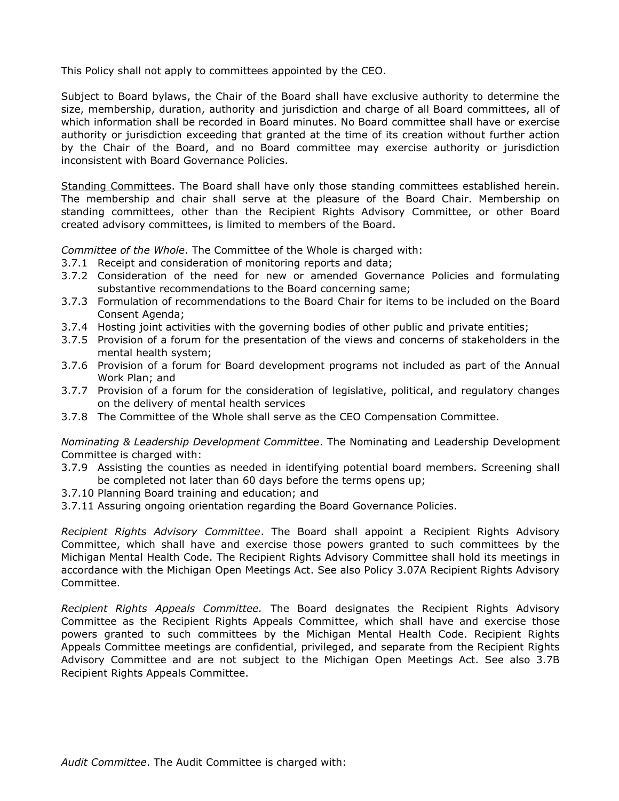This Policy shall not apply to committees appointed by the CEO.

Subject to Board bylaws, the Chair of the Board shall have exclusive authority to determine the size, membership, duration, authority and jurisdiction and charge of all Board committees, all of which information shall be recorded in Board minutes. No Board committee shall have or exercise authority or jurisdiction exceeding that granted at the time of its creation without further action by the Chair of the Board, and no Board committee may exercise authority or jurisdiction inconsistent with Board Governance Policies.

Standing Committees. The Board shall have only those standing committees established herein. The membership and chair shall serve at the pleasure of the Board Chair. Membership on standing committees, other than the Recipient Rights Advisory Committee, or other Board created advisory committees, is limited to members of the Board.

*Committee of the Whole*. The Committee of the Whole is charged with:

- 3.7.1 Receipt and consideration of monitoring reports and data;
- 3.7.2 Consideration of the need for new or amended Governance Policies and formulating substantive recommendations to the Board concerning same;
- 3.7.3 Formulation of recommendations to the Board Chair for items to be included on the Board Consent Agenda;
- 3.7.4 Hosting joint activities with the governing bodies of other public and private entities;
- 3.7.5 Provision of a forum for the presentation of the views and concerns of stakeholders in the mental health system;
- 3.7.6 Provision of a forum for Board development programs not included as part of the Annual Work Plan; and
- 3.7.7 Provision of a forum for the consideration of legislative, political, and regulatory changes on the delivery of mental health services
- 3.7.8 The Committee of the Whole shall serve as the CEO Compensation Committee.

*Nominating & Leadership Development Committee*. The Nominating and Leadership Development Committee is charged with:

- 3.7.9 Assisting the counties as needed in identifying potential board members. Screening shall be completed not later than 60 days before the terms opens up;
- 3.7.10 Planning Board training and education; and
- 3.7.11 Assuring ongoing orientation regarding the Board Governance Policies.

*Recipient Rights Advisory Committee*. The Board shall appoint a Recipient Rights Advisory Committee, which shall have and exercise those powers granted to such committees by the Michigan Mental Health Code. The Recipient Rights Advisory Committee shall hold its meetings in accordance with the Michigan Open Meetings Act. See also Policy 3.07A Recipient Rights Advisory Committee.

*Recipient Rights Appeals Committee.* The Board designates the Recipient Rights Advisory Committee as the Recipient Rights Appeals Committee, which shall have and exercise those powers granted to such committees by the Michigan Mental Health Code. Recipient Rights Appeals Committee meetings are confidential, privileged, and separate from the Recipient Rights Advisory Committee and are not subject to the Michigan Open Meetings Act. See also 3.7B Recipient Rights Appeals Committee.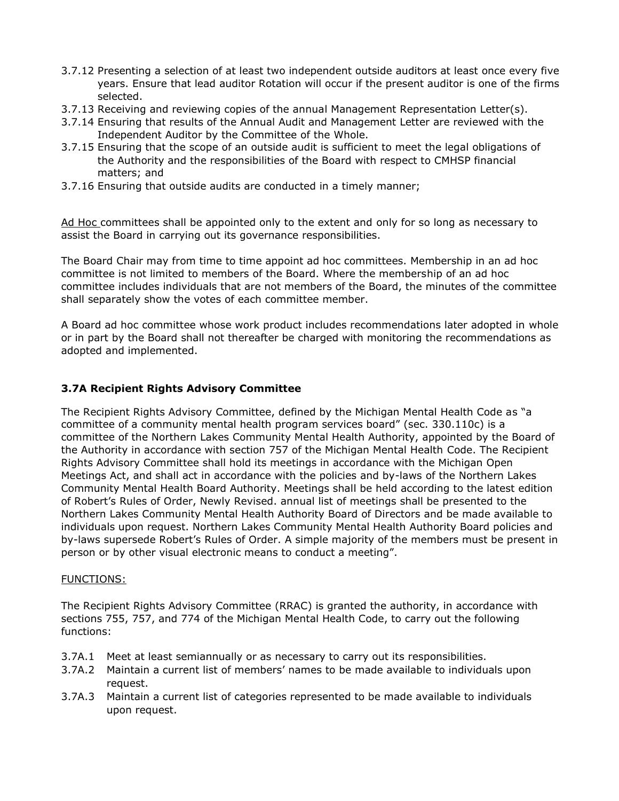- 3.7.12 Presenting a selection of at least two independent outside auditors at least once every five years. Ensure that lead auditor Rotation will occur if the present auditor is one of the firms selected.
- 3.7.13 Receiving and reviewing copies of the annual Management Representation Letter(s).
- 3.7.14 Ensuring that results of the Annual Audit and Management Letter are reviewed with the Independent Auditor by the Committee of the Whole.
- 3.7.15 Ensuring that the scope of an outside audit is sufficient to meet the legal obligations of the Authority and the responsibilities of the Board with respect to CMHSP financial matters; and
- 3.7.16 Ensuring that outside audits are conducted in a timely manner;

Ad Hoc committees shall be appointed only to the extent and only for so long as necessary to assist the Board in carrying out its governance responsibilities.

The Board Chair may from time to time appoint ad hoc committees. Membership in an ad hoc committee is not limited to members of the Board. Where the membership of an ad hoc committee includes individuals that are not members of the Board, the minutes of the committee shall separately show the votes of each committee member.

A Board ad hoc committee whose work product includes recommendations later adopted in whole or in part by the Board shall not thereafter be charged with monitoring the recommendations as adopted and implemented.

## **3.7A Recipient Rights Advisory Committee**

The Recipient Rights Advisory Committee, defined by the Michigan Mental Health Code as "a committee of a community mental health program services board" (sec. 330.110c) is a committee of the Northern Lakes Community Mental Health Authority, appointed by the Board of the Authority in accordance with section 757 of the Michigan Mental Health Code. The Recipient Rights Advisory Committee shall hold its meetings in accordance with the Michigan Open Meetings Act, and shall act in accordance with the policies and by-laws of the Northern Lakes Community Mental Health Board Authority. Meetings shall be held according to the latest edition of Robert's Rules of Order, Newly Revised. annual list of meetings shall be presented to the Northern Lakes Community Mental Health Authority Board of Directors and be made available to individuals upon request. Northern Lakes Community Mental Health Authority Board policies and by-laws supersede Robert's Rules of Order. A simple majority of the members must be present in person or by other visual electronic means to conduct a meeting".

#### FUNCTIONS:

The Recipient Rights Advisory Committee (RRAC) is granted the authority, in accordance with sections 755, 757, and 774 of the Michigan Mental Health Code, to carry out the following functions:

- 3.7A.1 Meet at least semiannually or as necessary to carry out its responsibilities.
- 3.7A.2 Maintain a current list of members' names to be made available to individuals upon request.
- 3.7A.3 Maintain a current list of categories represented to be made available to individuals upon request.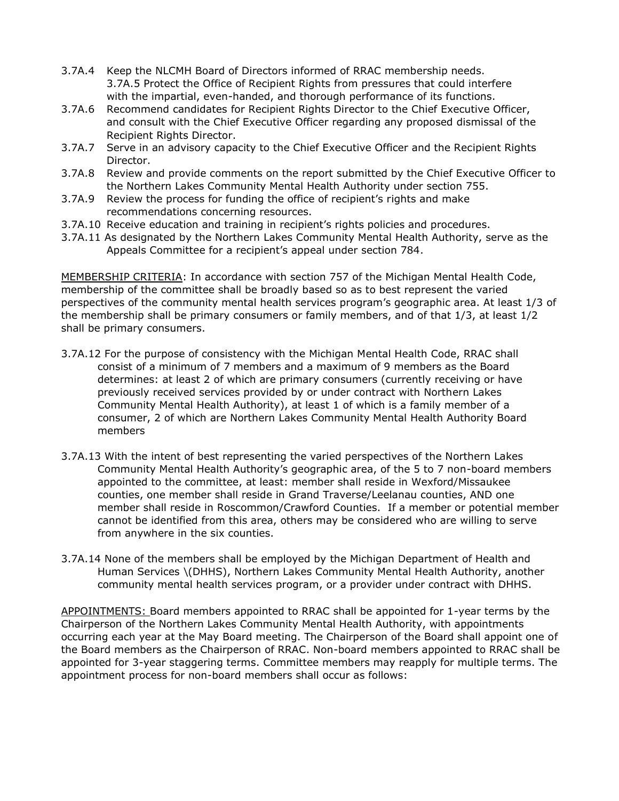- 3.7A.4 Keep the NLCMH Board of Directors informed of RRAC membership needs. 3.7A.5 Protect the Office of Recipient Rights from pressures that could interfere with the impartial, even-handed, and thorough performance of its functions.
- 3.7A.6 Recommend candidates for Recipient Rights Director to the Chief Executive Officer, and consult with the Chief Executive Officer regarding any proposed dismissal of the Recipient Rights Director.
- 3.7A.7 Serve in an advisory capacity to the Chief Executive Officer and the Recipient Rights Director.
- 3.7A.8 Review and provide comments on the report submitted by the Chief Executive Officer to the Northern Lakes Community Mental Health Authority under section 755.
- 3.7A.9 Review the process for funding the office of recipient's rights and make recommendations concerning resources.
- 3.7A.10 Receive education and training in recipient's rights policies and procedures.
- 3.7A.11 As designated by the Northern Lakes Community Mental Health Authority, serve as the Appeals Committee for a recipient's appeal under section 784.

MEMBERSHIP CRITERIA: In accordance with section 757 of the Michigan Mental Health Code, membership of the committee shall be broadly based so as to best represent the varied perspectives of the community mental health services program's geographic area. At least 1/3 of the membership shall be primary consumers or family members, and of that 1/3, at least 1/2 shall be primary consumers.

- 3.7A.12 For the purpose of consistency with the Michigan Mental Health Code, RRAC shall consist of a minimum of 7 members and a maximum of 9 members as the Board determines: at least 2 of which are primary consumers (currently receiving or have previously received services provided by or under contract with Northern Lakes Community Mental Health Authority), at least 1 of which is a family member of a consumer, 2 of which are Northern Lakes Community Mental Health Authority Board members
- 3.7A.13 With the intent of best representing the varied perspectives of the Northern Lakes Community Mental Health Authority's geographic area, of the 5 to 7 non-board members appointed to the committee, at least: member shall reside in Wexford/Missaukee counties, one member shall reside in Grand Traverse/Leelanau counties, AND one member shall reside in Roscommon/Crawford Counties. If a member or potential member cannot be identified from this area, others may be considered who are willing to serve from anywhere in the six counties.
- 3.7A.14 None of the members shall be employed by the Michigan Department of Health and Human Services \(DHHS), Northern Lakes Community Mental Health Authority, another community mental health services program, or a provider under contract with DHHS.

APPOINTMENTS: Board members appointed to RRAC shall be appointed for 1-year terms by the Chairperson of the Northern Lakes Community Mental Health Authority, with appointments occurring each year at the May Board meeting. The Chairperson of the Board shall appoint one of the Board members as the Chairperson of RRAC. Non-board members appointed to RRAC shall be appointed for 3-year staggering terms. Committee members may reapply for multiple terms. The appointment process for non-board members shall occur as follows: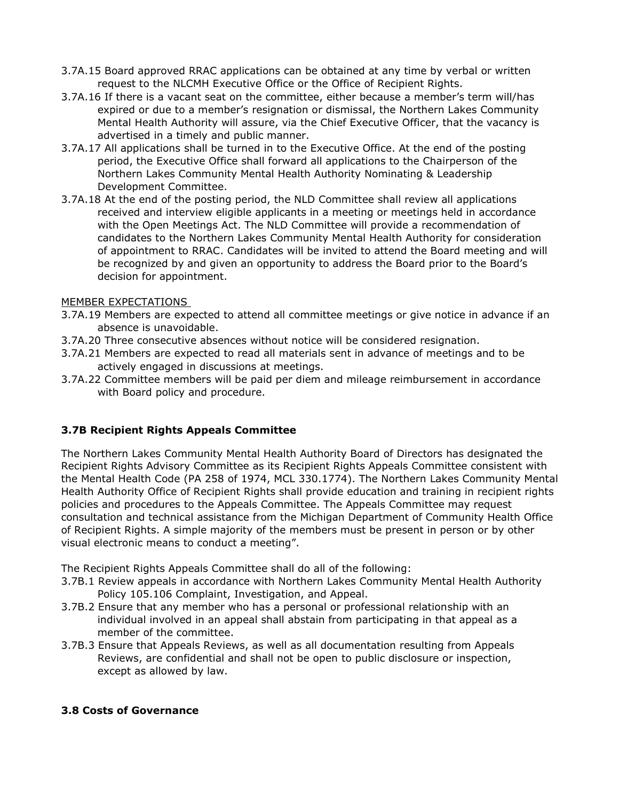- 3.7A.15 Board approved RRAC applications can be obtained at any time by verbal or written request to the NLCMH Executive Office or the Office of Recipient Rights.
- 3.7A.16 If there is a vacant seat on the committee, either because a member's term will/has expired or due to a member's resignation or dismissal, the Northern Lakes Community Mental Health Authority will assure, via the Chief Executive Officer, that the vacancy is advertised in a timely and public manner.
- 3.7A.17 All applications shall be turned in to the Executive Office. At the end of the posting period, the Executive Office shall forward all applications to the Chairperson of the Northern Lakes Community Mental Health Authority Nominating & Leadership Development Committee.
- 3.7A.18 At the end of the posting period, the NLD Committee shall review all applications received and interview eligible applicants in a meeting or meetings held in accordance with the Open Meetings Act. The NLD Committee will provide a recommendation of candidates to the Northern Lakes Community Mental Health Authority for consideration of appointment to RRAC. Candidates will be invited to attend the Board meeting and will be recognized by and given an opportunity to address the Board prior to the Board's decision for appointment.

### MEMBER EXPECTATIONS

- 3.7A.19 Members are expected to attend all committee meetings or give notice in advance if an absence is unavoidable.
- 3.7A.20 Three consecutive absences without notice will be considered resignation.
- 3.7A.21 Members are expected to read all materials sent in advance of meetings and to be actively engaged in discussions at meetings.
- 3.7A.22 Committee members will be paid per diem and mileage reimbursement in accordance with Board policy and procedure.

## **3.7B Recipient Rights Appeals Committee**

The Northern Lakes Community Mental Health Authority Board of Directors has designated the Recipient Rights Advisory Committee as its Recipient Rights Appeals Committee consistent with the Mental Health Code (PA 258 of 1974, MCL 330.1774). The Northern Lakes Community Mental Health Authority Office of Recipient Rights shall provide education and training in recipient rights policies and procedures to the Appeals Committee. The Appeals Committee may request consultation and technical assistance from the Michigan Department of Community Health Office of Recipient Rights. A simple majority of the members must be present in person or by other visual electronic means to conduct a meeting".

The Recipient Rights Appeals Committee shall do all of the following:

- 3.7B.1 Review appeals in accordance with Northern Lakes Community Mental Health Authority Policy 105.106 Complaint, Investigation, and Appeal.
- 3.7B.2 Ensure that any member who has a personal or professional relationship with an individual involved in an appeal shall abstain from participating in that appeal as a member of the committee.
- 3.7B.3 Ensure that Appeals Reviews, as well as all documentation resulting from Appeals Reviews, are confidential and shall not be open to public disclosure or inspection, except as allowed by law.

## **3.8 Costs of Governance**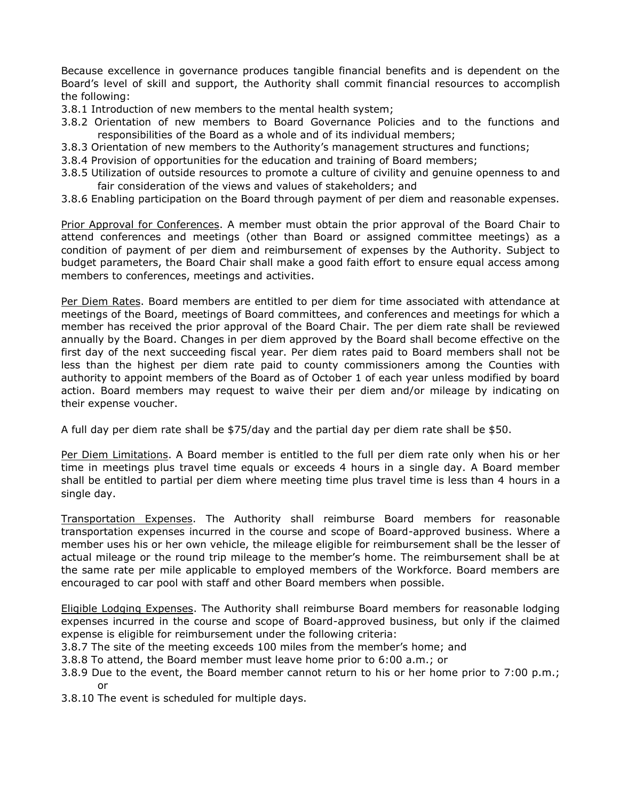Because excellence in governance produces tangible financial benefits and is dependent on the Board's level of skill and support, the Authority shall commit financial resources to accomplish the following:

- 3.8.1 Introduction of new members to the mental health system;
- 3.8.2 Orientation of new members to Board Governance Policies and to the functions and responsibilities of the Board as a whole and of its individual members;
- 3.8.3 Orientation of new members to the Authority's management structures and functions;
- 3.8.4 Provision of opportunities for the education and training of Board members;
- 3.8.5 Utilization of outside resources to promote a culture of civility and genuine openness to and fair consideration of the views and values of stakeholders; and
- 3.8.6 Enabling participation on the Board through payment of per diem and reasonable expenses.

Prior Approval for Conferences. A member must obtain the prior approval of the Board Chair to attend conferences and meetings (other than Board or assigned committee meetings) as a condition of payment of per diem and reimbursement of expenses by the Authority. Subject to budget parameters, the Board Chair shall make a good faith effort to ensure equal access among members to conferences, meetings and activities.

Per Diem Rates. Board members are entitled to per diem for time associated with attendance at meetings of the Board, meetings of Board committees, and conferences and meetings for which a member has received the prior approval of the Board Chair. The per diem rate shall be reviewed annually by the Board. Changes in per diem approved by the Board shall become effective on the first day of the next succeeding fiscal year. Per diem rates paid to Board members shall not be less than the highest per diem rate paid to county commissioners among the Counties with authority to appoint members of the Board as of October 1 of each year unless modified by board action. Board members may request to waive their per diem and/or mileage by indicating on their expense voucher.

A full day per diem rate shall be \$75/day and the partial day per diem rate shall be \$50.

Per Diem Limitations. A Board member is entitled to the full per diem rate only when his or her time in meetings plus travel time equals or exceeds 4 hours in a single day. A Board member shall be entitled to partial per diem where meeting time plus travel time is less than 4 hours in a single day.

Transportation Expenses. The Authority shall reimburse Board members for reasonable transportation expenses incurred in the course and scope of Board-approved business. Where a member uses his or her own vehicle, the mileage eligible for reimbursement shall be the lesser of actual mileage or the round trip mileage to the member's home. The reimbursement shall be at the same rate per mile applicable to employed members of the Workforce. Board members are encouraged to car pool with staff and other Board members when possible.

Eligible Lodging Expenses. The Authority shall reimburse Board members for reasonable lodging expenses incurred in the course and scope of Board-approved business, but only if the claimed expense is eligible for reimbursement under the following criteria:

- 3.8.7 The site of the meeting exceeds 100 miles from the member's home; and
- 3.8.8 To attend, the Board member must leave home prior to 6:00 a.m.; or
- 3.8.9 Due to the event, the Board member cannot return to his or her home prior to 7:00 p.m.; or
- 3.8.10 The event is scheduled for multiple days.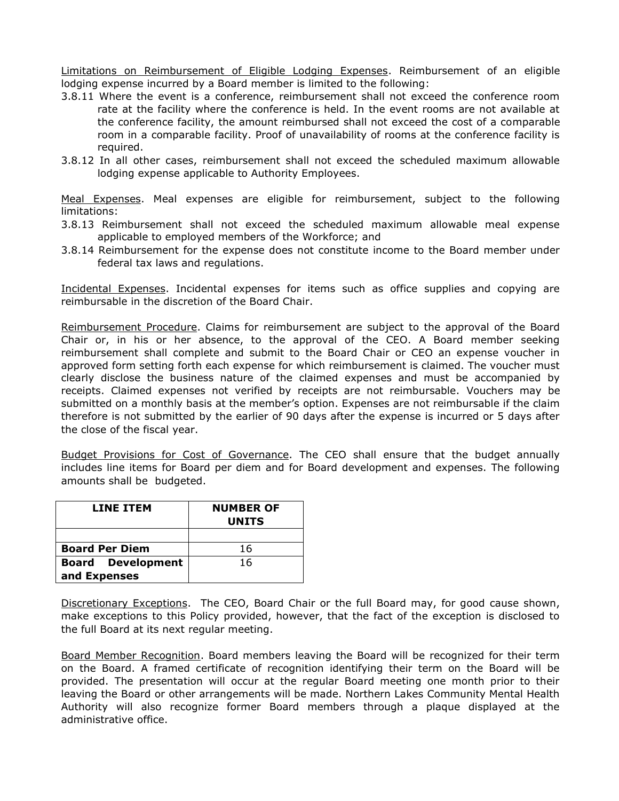Limitations on Reimbursement of Eligible Lodging Expenses. Reimbursement of an eligible lodging expense incurred by a Board member is limited to the following:

- 3.8.11 Where the event is a conference, reimbursement shall not exceed the conference room rate at the facility where the conference is held. In the event rooms are not available at the conference facility, the amount reimbursed shall not exceed the cost of a comparable room in a comparable facility. Proof of unavailability of rooms at the conference facility is required.
- 3.8.12 In all other cases, reimbursement shall not exceed the scheduled maximum allowable lodging expense applicable to Authority Employees.

Meal Expenses. Meal expenses are eligible for reimbursement, subject to the following limitations:

- 3.8.13 Reimbursement shall not exceed the scheduled maximum allowable meal expense applicable to employed members of the Workforce; and
- 3.8.14 Reimbursement for the expense does not constitute income to the Board member under federal tax laws and regulations.

Incidental Expenses. Incidental expenses for items such as office supplies and copying are reimbursable in the discretion of the Board Chair.

Reimbursement Procedure. Claims for reimbursement are subject to the approval of the Board Chair or, in his or her absence, to the approval of the CEO. A Board member seeking reimbursement shall complete and submit to the Board Chair or CEO an expense voucher in approved form setting forth each expense for which reimbursement is claimed. The voucher must clearly disclose the business nature of the claimed expenses and must be accompanied by receipts. Claimed expenses not verified by receipts are not reimbursable. Vouchers may be submitted on a monthly basis at the member's option. Expenses are not reimbursable if the claim therefore is not submitted by the earlier of 90 days after the expense is incurred or 5 days after the close of the fiscal year.

Budget Provisions for Cost of Governance. The CEO shall ensure that the budget annually includes line items for Board per diem and for Board development and expenses. The following amounts shall be budgeted.

| <b>LINE ITEM</b>         | <b>NUMBER OF</b><br><b>UNITS</b> |
|--------------------------|----------------------------------|
|                          |                                  |
| <b>Board Per Diem</b>    | 16                               |
| <b>Board Development</b> | 16                               |
| and Expenses             |                                  |

Discretionary Exceptions. The CEO, Board Chair or the full Board may, for good cause shown, make exceptions to this Policy provided, however, that the fact of the exception is disclosed to the full Board at its next regular meeting.

Board Member Recognition. Board members leaving the Board will be recognized for their term on the Board. A framed certificate of recognition identifying their term on the Board will be provided. The presentation will occur at the regular Board meeting one month prior to their leaving the Board or other arrangements will be made. Northern Lakes Community Mental Health Authority will also recognize former Board members through a plaque displayed at the administrative office.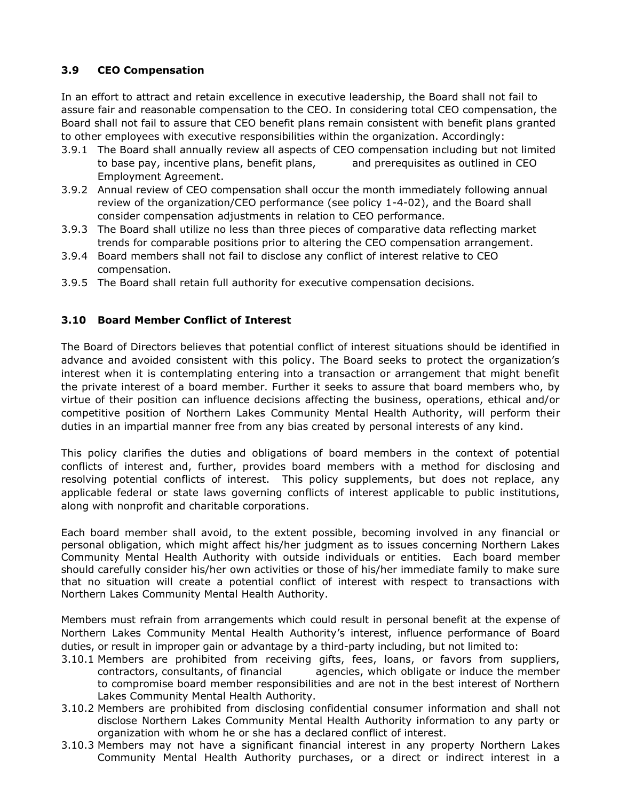# **3.9 CEO Compensation**

In an effort to attract and retain excellence in executive leadership, the Board shall not fail to assure fair and reasonable compensation to the CEO. In considering total CEO compensation, the Board shall not fail to assure that CEO benefit plans remain consistent with benefit plans granted to other employees with executive responsibilities within the organization. Accordingly:

- 3.9.1 The Board shall annually review all aspects of CEO compensation including but not limited to base pay, incentive plans, benefit plans, and prerequisites as outlined in CEO Employment Agreement.
- 3.9.2 Annual review of CEO compensation shall occur the month immediately following annual review of the organization/CEO performance (see policy 1-4-02), and the Board shall consider compensation adjustments in relation to CEO performance.
- 3.9.3 The Board shall utilize no less than three pieces of comparative data reflecting market trends for comparable positions prior to altering the CEO compensation arrangement.
- 3.9.4 Board members shall not fail to disclose any conflict of interest relative to CEO compensation.
- 3.9.5 The Board shall retain full authority for executive compensation decisions.

## **3.10 Board Member Conflict of Interest**

The Board of Directors believes that potential conflict of interest situations should be identified in advance and avoided consistent with this policy. The Board seeks to protect the organization's interest when it is contemplating entering into a transaction or arrangement that might benefit the private interest of a board member. Further it seeks to assure that board members who, by virtue of their position can influence decisions affecting the business, operations, ethical and/or competitive position of Northern Lakes Community Mental Health Authority, will perform their duties in an impartial manner free from any bias created by personal interests of any kind.

This policy clarifies the duties and obligations of board members in the context of potential conflicts of interest and, further, provides board members with a method for disclosing and resolving potential conflicts of interest. This policy supplements, but does not replace, any applicable federal or state laws governing conflicts of interest applicable to public institutions, along with nonprofit and charitable corporations.

Each board member shall avoid, to the extent possible, becoming involved in any financial or personal obligation, which might affect his/her judgment as to issues concerning Northern Lakes Community Mental Health Authority with outside individuals or entities. Each board member should carefully consider his/her own activities or those of his/her immediate family to make sure that no situation will create a potential conflict of interest with respect to transactions with Northern Lakes Community Mental Health Authority.

Members must refrain from arrangements which could result in personal benefit at the expense of Northern Lakes Community Mental Health Authority's interest, influence performance of Board duties, or result in improper gain or advantage by a third-party including, but not limited to:

- 3.10.1 Members are prohibited from receiving gifts, fees, loans, or favors from suppliers, contractors, consultants, of financial agencies, which obligate or induce the member to compromise board member responsibilities and are not in the best interest of Northern Lakes Community Mental Health Authority.
- 3.10.2 Members are prohibited from disclosing confidential consumer information and shall not disclose Northern Lakes Community Mental Health Authority information to any party or organization with whom he or she has a declared conflict of interest.
- 3.10.3 Members may not have a significant financial interest in any property Northern Lakes Community Mental Health Authority purchases, or a direct or indirect interest in a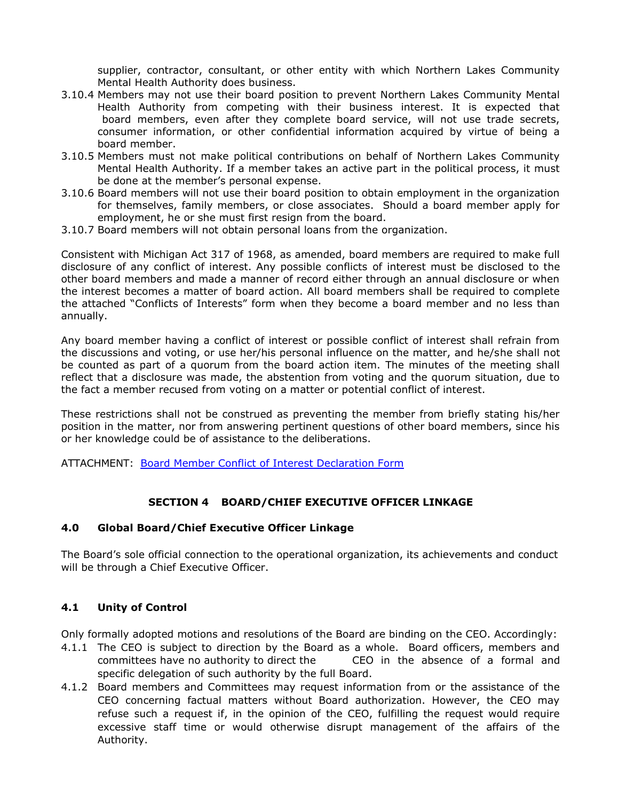supplier, contractor, consultant, or other entity with which Northern Lakes Community Mental Health Authority does business.

- 3.10.4 Members may not use their board position to prevent Northern Lakes Community Mental Health Authority from competing with their business interest. It is expected that board members, even after they complete board service, will not use trade secrets, consumer information, or other confidential information acquired by virtue of being a board member.
- 3.10.5 Members must not make political contributions on behalf of Northern Lakes Community Mental Health Authority. If a member takes an active part in the political process, it must be done at the member's personal expense.
- 3.10.6 Board members will not use their board position to obtain employment in the organization for themselves, family members, or close associates. Should a board member apply for employment, he or she must first resign from the board.
- 3.10.7 Board members will not obtain personal loans from the organization.

Consistent with Michigan Act 317 of 1968, as amended, board members are required to make full disclosure of any conflict of interest. Any possible conflicts of interest must be disclosed to the other board members and made a manner of record either through an annual disclosure or when the interest becomes a matter of board action. All board members shall be required to complete the attached "Conflicts of Interests" form when they become a board member and no less than annually.

Any board member having a conflict of interest or possible conflict of interest shall refrain from the discussions and voting, or use her/his personal influence on the matter, and he/she shall not be counted as part of a quorum from the board action item. The minutes of the meeting shall reflect that a disclosure was made, the abstention from voting and the quorum situation, due to the fact a member recused from voting on a matter or potential conflict of interest.

These restrictions shall not be construed as preventing the member from briefly stating his/her position in the matter, nor from answering pertinent questions of other board members, since his or her knowledge could be of assistance to the deliberations.

ATTACHMENT: [Board Member Conflict of Interest Declaration Form](file://///PRIME/VOL1/SHARE/PPMANUAL/BOARD%20GOVERNANCE%20MANUAL/SEC%20II%20-%20Board%20Governance%20Process/II.11A%20Board%20Member%20Disclosure%20Form%202006.doc)

#### **SECTION 4 BOARD/CHIEF EXECUTIVE OFFICER LINKAGE**

#### **4.0 Global Board/Chief Executive Officer Linkage**

The Board's sole official connection to the operational organization, its achievements and conduct will be through a Chief Executive Officer.

#### **4.1 Unity of Control**

Only formally adopted motions and resolutions of the Board are binding on the CEO. Accordingly:

- 4.1.1 The CEO is subject to direction by the Board as a whole. Board officers, members and committees have no authority to direct the CEO in the absence of a formal and specific delegation of such authority by the full Board.
- 4.1.2 Board members and Committees may request information from or the assistance of the CEO concerning factual matters without Board authorization. However, the CEO may refuse such a request if, in the opinion of the CEO, fulfilling the request would require excessive staff time or would otherwise disrupt management of the affairs of the Authority.